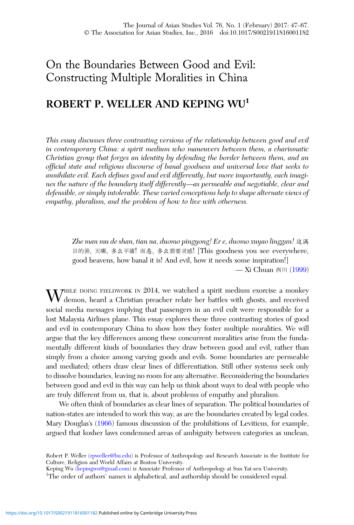# On the Boundaries Between Good and Evil: Constructing Multiple Moralities in China

## ROBERT P. WELLER AND KEPING WU<sup>1</sup>

This essay discusses three contrasting versions of the relationship between good and evil in contemporary China: a spirit medium who maneuvers between them, a charismatic Christian group that forges an identity by defending the border between them, and an official state and religious discourse of banal goodness and universal love that seeks to annihilate evil. Each defines good and evil differently, but more importantly, each imagines the nature of the boundary itself differently—as permeable and negotiable, clear and defensible, or simply intolerable. These varied conceptions help to shape alternate views of empathy, pluralism, and the problem of how to live with otherness.

Zhe man mu de shan, tian na, duomo pingyong! Er e, duomo xuyao linggan! 这满 目的善, <sup>天</sup>哪, <sup>多</sup>么平庸! <sup>而</sup>恶, <sup>多</sup>么需要灵感! [This goodness you see everywhere, good heavens, how banal it is! And evil, how it needs some inspiration!] — Xi Chuan 西川 ([1999\)](#page-20-0)

 $\mathbf{W}$ <sup>HILE DOING FIELDWORK IN 2014, we watched a spirit medium exorcise a monkey</sup> demon, heard a Christian preacher relate her battles with ghosts, and received social media messages implying that passengers in an evil cult were responsible for a lost Malaysia Airlines plane. This essay explores these three contrasting stories of good and evil in contemporary China to show how they foster multiple moralities. We will argue that the key differences among these concurrent moralities arise from the fundamentally different kinds of boundaries they draw between good and evil, rather than simply from a choice among varying goods and evils. Some boundaries are permeable and mediated; others draw clear lines of differentiation. Still other systems seek only to dissolve boundaries, leaving no room for any alternative. Reconsidering the boundaries between good and evil in this way can help us think about ways to deal with people who are truly different from us, that is, about problems of empathy and pluralism.

We often think of boundaries as clear lines of separation. The political boundaries of nation-states are intended to work this way, as are the boundaries created by legal codes. Mary Douglas's [\(1966](#page-18-0)) famous discussion of the prohibitions of Leviticus, for example, argued that kosher laws condemned areas of ambiguity between categories as unclean,

Robert P. Weller [\(rpweller@bu.edu\)](mailto:rpweller@bu.edu) is Professor of Anthropology and Research Associate in the Institute for Culture, Religion and World Affairs at Boston University.

Keping Wu ([kepingwu@gmail.com](mailto:kepingwu@gmail.com)) is Associate Professor of Anthropology at Sun Yat-sen University.

<sup>&</sup>lt;sup>1</sup>The order of authors' names is alphabetical, and authorship should be considered equal.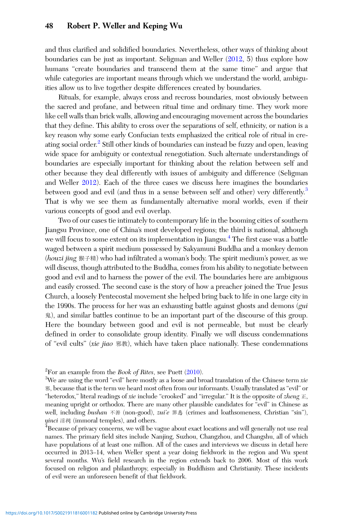and thus clarified and solidified boundaries. Nevertheless, other ways of thinking about boundaries can be just as important. Seligman and Weller [\(2012](#page-19-0), 5) thus explore how humans "create boundaries and transcend them at the same time" and argue that while categories are important means through which we understand the world, ambiguities allow us to live together despite differences created by boundaries.

Rituals, for example, always cross and recross boundaries, most obviously between the sacred and profane, and between ritual time and ordinary time. They work more like cell walls than brick walls, allowing and encouraging movement across the boundaries that they define. This ability to cross over the separations of self, ethnicity, or nation is a key reason why some early Confucian texts emphasized the critical role of ritual in creating social order.<sup>2</sup> Still other kinds of boundaries can instead be fuzzy and open, leaving wide space for ambiguity or contextual renegotiation. Such alternate understandings of boundaries are especially important for thinking about the relation between self and other because they deal differently with issues of ambiguity and difference (Seligman and Weller [2012](#page-19-0)). Each of the three cases we discuss here imagines the boundaries between good and evil (and thus in a sense between self and other) very differently.<sup>3</sup> That is why we see them as fundamentally alternative moral worlds, even if their various concepts of good and evil overlap.

Two of our cases tie intimately to contemporary life in the booming cities of southern Jiangsu Province, one of China's most developed regions; the third is national, although we will focus to some extent on its implementation in Jiangsu.<sup>4</sup> The first case was a battle waged between a spirit medium possessed by Sakyamuni Buddha and a monkey demon (houzi jing 猴子精) who had infiltrated a woman's body. The spirit medium's power, as we will discuss, though attributed to the Buddha, comes from his ability to negotiate between good and evil and to harness the power of the evil. The boundaries here are ambiguous and easily crossed. The second case is the story of how a preacher joined the True Jesus Church, a loosely Pentecostal movement she helped bring back to life in one large city in the 1990s. The process for her was an exhausting battle against ghosts and demons (gui 鬼), and similar battles continue to be an important part of the discourse of this group. Here the boundary between good and evil is not permeable, but must be clearly defined in order to consolidate group identity. Finally we will discuss condemnations of "evil cults" (xie jiao 邪教), which have taken place nationally. These condemnations

<sup>&</sup>lt;sup>2</sup>For an example from the *Book of Rites*, see Puett  $(2010)$  $(2010)$ .<br><sup>3</sup>We are using the word "evil" here mostly as a loose and by

<sup>&</sup>lt;sup>3</sup>We are using the word "evil" here mostly as a loose and broad translation of the Chinese term  $xie$ 邪, because that is the term we heard most often from our informants. Usually translated as "evil" or "heterodox," literal readings of xie include "crooked" and "irregular." It is the opposite of zheng  $E$ , meaning upright or orthodox. There are many other plausible candidates for "evil" in Chinese as well, including *bushan* 不善 (non-good), zuie 罪恶 (crimes and loathsomeness, Christian "sin"),  $yinci$  淫祠 (immoral temples), and others.

<sup>&</sup>lt;sup>4</sup>Because of privacy concerns, we will be vague about exact locations and will generally not use real names. The primary field sites include Nanjing, Suzhou, Changzhou, and Changshu, all of which have populations of at least one million. All of the cases and interviews we discuss in detail here occurred in 2013–14, when Weller spent a year doing fieldwork in the region and Wu spent several months. Wu's field research in the region extends back to 2006. Most of this work focused on religion and philanthropy, especially in Buddhism and Christianity. These incidents of evil were an unforeseen benefit of that fieldwork.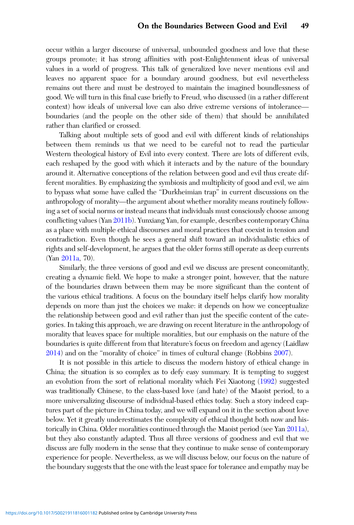occur within a larger discourse of universal, unbounded goodness and love that these groups promote; it has strong affinities with post-Enlightenment ideas of universal values in a world of progress. This talk of generalized love never mentions evil and leaves no apparent space for a boundary around goodness, but evil nevertheless remains out there and must be destroyed to maintain the imagined boundlessness of good. We will turn in this final case briefly to Freud, who discussed (in a rather different context) how ideals of universal love can also drive extreme versions of intolerance boundaries (and the people on the other side of them) that should be annihilated rather than clarified or crossed.

Talking about multiple sets of good and evil with different kinds of relationships between them reminds us that we need to be careful not to read the particular Western theological history of Evil into every context. There are lots of different evils, each reshaped by the good with which it interacts and by the nature of the boundary around it. Alternative conceptions of the relation between good and evil thus create different moralities. By emphasizing the symbiosis and multiplicity of good and evil, we aim to bypass what some have called the "Durkheimian trap" in current discussions on the anthropology of morality—the argument about whether morality means routinely following a set of social norms or instead means that individuals must consciously choose among conflicting values (Yan [2011b\)](#page-20-0). Yunxiang Yan, for example, describes contemporary China as a place with multiple ethical discourses and moral practices that coexist in tension and contradiction. Even though he sees a general shift toward an individualistic ethics of rights and self-development, he argues that the older forms still operate as deep currents (Yan [2011a,](#page-20-0) 70).

Similarly, the three versions of good and evil we discuss are present concomitantly, creating a dynamic field. We hope to make a stronger point, however, that the nature of the boundaries drawn between them may be more significant than the content of the various ethical traditions. A focus on the boundary itself helps clarify how morality depends on more than just the choices we make: it depends on how we conceptualize the relationship between good and evil rather than just the specific content of the categories. In taking this approach, we are drawing on recent literature in the anthropology of morality that leaves space for multiple moralities, but our emphasis on the nature of the boundaries is quite different from that literature's focus on freedom and agency (Laidlaw [2014\)](#page-19-0) and on the "morality of choice" in times of cultural change (Robbins [2007](#page-19-0)).

It is not possible in this article to discuss the modern history of ethical change in China; the situation is so complex as to defy easy summary. It is tempting to suggest an evolution from the sort of relational morality which Fei Xiaotong ([1992\)](#page-18-0) suggested was traditionally Chinese, to the class-based love (and hate) of the Maoist period, to a more universalizing discourse of individual-based ethics today. Such a story indeed captures part of the picture in China today, and we will expand on it in the section about love below. Yet it greatly underestimates the complexity of ethical thought both now and historically in China. Older moralities continued through the Maoist period (see Yan [2011a](#page-20-0)), but they also constantly adapted. Thus all three versions of goodness and evil that we discuss are fully modern in the sense that they continue to make sense of contemporary experience for people. Nevertheless, as we will discuss below, our focus on the nature of the boundary suggests that the one with the least space for tolerance and empathy may be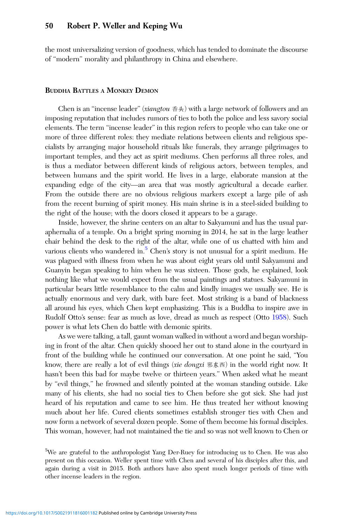the most universalizing version of goodness, which has tended to dominate the discourse of "modern" morality and philanthropy in China and elsewhere.

#### BUDDHA BATTLES A MONKEY DEMON

Chen is an "incense leader" (xiangtou <sup>香</sup>头) with a large network of followers and an imposing reputation that includes rumors of ties to both the police and less savory social elements. The term "incense leader" in this region refers to people who can take one or more of three different roles: they mediate relations between clients and religious specialists by arranging major household rituals like funerals, they arrange pilgrimages to important temples, and they act as spirit mediums. Chen performs all three roles, and is thus a mediator between different kinds of religious actors, between temples, and between humans and the spirit world. He lives in a large, elaborate mansion at the expanding edge of the city—an area that was mostly agricultural a decade earlier. From the outside there are no obvious religious markers except a large pile of ash from the recent burning of spirit money. His main shrine is in a steel-sided building to the right of the house; with the doors closed it appears to be a garage.

Inside, however, the shrine centers on an altar to Sakyamuni and has the usual paraphernalia of a temple. On a bright spring morning in 2014, he sat in the large leather chair behind the desk to the right of the altar, while one of us chatted with him and various clients who wandered in.<sup>5</sup> Chen's story is not unusual for a spirit medium. He was plagued with illness from when he was about eight years old until Sakyamuni and Guanyin began speaking to him when he was sixteen. Those gods, he explained, look nothing like what we would expect from the usual paintings and statues. Sakyamuni in particular bears little resemblance to the calm and kindly images we usually see. He is actually enormous and very dark, with bare feet. Most striking is a band of blackness all around his eyes, which Chen kept emphasizing. This is a Buddha to inspire awe in Rudolf Otto's sense: fear as much as love, dread as much as respect (Otto [1958](#page-19-0)). Such power is what lets Chen do battle with demonic spirits.

As we were talking, a tall, gaunt woman walked in without a word and began worshiping in front of the altar. Chen quickly shooed her out to stand alone in the courtyard in front of the building while he continued our conversation. At one point he said, "You know, there are really a lot of evil things (xie dongxi  $\mathcal{R} \star \mathcal{B}$ ) in the world right now. It hasn't been this bad for maybe twelve or thirteen years." When asked what he meant by "evil things," he frowned and silently pointed at the woman standing outside. Like many of his clients, she had no social ties to Chen before she got sick. She had just heard of his reputation and came to see him. He thus treated her without knowing much about her life. Cured clients sometimes establish stronger ties with Chen and now form a network of several dozen people. Some of them become his formal disciples. This woman, however, had not maintained the tie and so was not well known to Chen or

<sup>&</sup>lt;sup>5</sup>We are grateful to the anthropologist Yang Der-Ruey for introducing us to Chen. He was also present on this occasion. Weller spent time with Chen and several of his disciples after this, and again during a visit in 2015. Both authors have also spent much longer periods of time with other incense leaders in the region.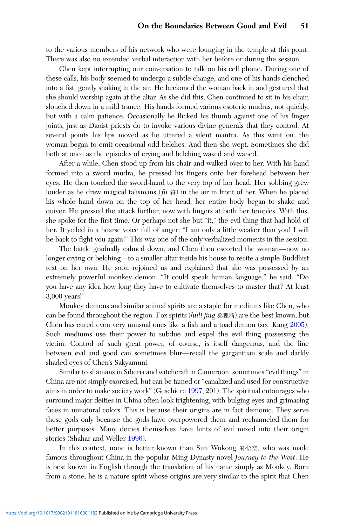to the various members of his network who were lounging in the temple at this point. There was also no extended verbal interaction with her before or during the session.

Chen kept interrupting our conversation to talk on his cell phone. During one of these calls, his body seemed to undergo a subtle change, and one of his hands clenched into a fist, gently shaking in the air. He beckoned the woman back in and gestured that she should worship again at the altar. As she did this, Chen continued to sit in his chair, slouched down in a mild trance. His hands formed various esoteric mudras, not quickly, but with a calm patience. Occasionally he flicked his thumb against one of his finger joints, just as Daoist priests do to invoke various divine generals that they control. At several points his lips moved as he uttered a silent mantra. As this went on, the woman began to emit occasional odd belches. And then she wept. Sometimes she did both at once as the episodes of crying and belching waxed and waned.

After a while, Chen stood up from his chair and walked over to her. With his hand formed into a sword mudra, he pressed his fingers onto her forehead between her eyes. He then touched the sword-hand to the very top of her head. Her sobbing grew louder as he drew magical talismans  $(f\mu \nleftrightarrow f)$  in the air in front of her. When he placed his whole hand down on the top of her head, her entire body began to shake and quiver. He pressed the attack further, now with fingers at both her temples. With this, she spoke for the first time. Or perhaps not she but "it," the evil thing that had hold of her. It yelled in a hoarse voice full of anger: "I am only a little weaker than you! I will be back to fight you again!" This was one of the only verbalized moments in the session.

The battle gradually calmed down, and Chen then escorted the woman—now no longer crying or belching—to a smaller altar inside his house to recite a simple Buddhist text on her own. He soon rejoined us and explained that she was possessed by an extremely powerful monkey demon. "It could speak human language," he said. "Do you have any idea how long they have to cultivate themselves to master that? At least 3,000 years!"

Monkey demons and similar animal spirits are a staple for mediums like Chen, who can be found throughout the region. Fox spirits (huli jing 狐狸精) are the best known, but Chen has cured even very unusual ones like a fish and a toad demon (see Kang [2005](#page-19-0)). Such mediums use their power to subdue and expel the evil thing possessing the victim. Control of such great power, of course, is itself dangerous, and the line between evil and good can sometimes blur—recall the gargantuan scale and darkly shaded eyes of Chen's Sakyamuni.

Similar to shamans in Siberia and witchcraft in Cameroon, sometimes "evil things" in China are not simply exorcised, but can be tamed or "canalized and used for constructive aims in order to make society work" (Geschiere [1997](#page-18-0), 291). The spiritual entourages who surround major deities in China often look frightening, with bulging eyes and grimacing faces in unnatural colors. This is because their origins are in fact demonic. They serve these gods only because the gods have overpowered them and rechanneled them for better purposes. Many deities themselves have hints of evil mixed into their origin stories (Shahar and Weller [1996](#page-19-0)).

In this context, none is better known than Sun Wukong 孙悟空, who was made famous throughout China in the popular Ming Dynasty novel Journey to the West. He is best known in English through the translation of his name simply as Monkey. Born from a stone, he is a nature spirit whose origins are very similar to the spirit that Chen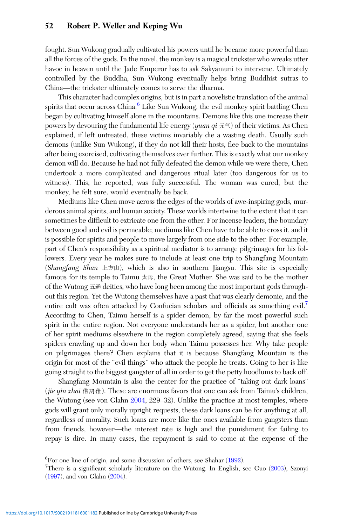fought. Sun Wukong gradually cultivated his powers until he became more powerful than all the forces of the gods. In the novel, the monkey is a magical trickster who wreaks utter havoc in heaven until the Jade Emperor has to ask Sakyamuni to intervene. Ultimately controlled by the Buddha, Sun Wukong eventually helps bring Buddhist sutras to China—the trickster ultimately comes to serve the dharma.

This character had complex origins, but is in part a novelistic translation of the animal spirits that occur across  ${\rm China.}^6$  Like Sun Wukong, the evil monkey spirit battling Chen began by cultivating himself alone in the mountains. Demons like this one increase their powers by devouring the fundamental life energy (yuan qi  $\bar{\pi}$ ) of their victims. As Chen explained, if left untreated, these victims invariably die a wasting death. Usually such demons (unlike Sun Wukong), if they do not kill their hosts, flee back to the mountains after being exorcised, cultivating themselves ever further. This is exactly what our monkey demon will do. Because he had not fully defeated the demon while we were there, Chen undertook a more complicated and dangerous ritual later (too dangerous for us to witness). This, he reported, was fully successful. The woman was cured, but the monkey, he felt sure, would eventually be back.

Mediums like Chen move across the edges of the worlds of awe-inspiring gods, murderous animal spirits, and human society. These worlds intertwine to the extent that it can sometimes be difficult to extricate one from the other. For incense leaders, the boundary between good and evil is permeable; mediums like Chen have to be able to cross it, and it is possible for spirits and people to move largely from one side to the other. For example, part of Chen's responsibility as a spiritual mediator is to arrange pilgrimages for his followers. Every year he makes sure to include at least one trip to Shangfang Mountain (Shangfang Shan  $\pm \pi \mu$ ), which is also in southern Jiangsu. This site is especially famous for its temple to Taimu 太母, the Great Mother. She was said to be the mother of the Wutong 五通 deities, who have long been among the most important gods throughout this region. Yet the Wutong themselves have a past that was clearly demonic, and the entire cult was often attacked by Confucian scholars and officials as something evil.<sup>7</sup> According to Chen, Taimu herself is a spider demon, by far the most powerful such spirit in the entire region. Not everyone understands her as a spider, but another one of her spirit mediums elsewhere in the region completely agreed, saying that she feels spiders crawling up and down her body when Taimu possesses her. Why take people on pilgrimages there? Chen explains that it is because Shangfang Mountain is the origin for most of the "evil things" who attack the people he treats. Going to her is like going straight to the biggest gangster of all in order to get the petty hoodlums to back off.

Shangfang Mountain is also the center for the practice of "taking out dark loans" (*jie yin zhai* 借阴债). These are enormous favors that one can ask from Taimu's children, the Wutong (see von Glahn [2004,](#page-19-0) 229–32). Unlike the practice at most temples, where gods will grant only morally upright requests, these dark loans can be for anything at all, regardless of morality. Such loans are more like the ones available from gangsters than from friends, however—the interest rate is high and the punishment for failing to repay is dire. In many cases, the repayment is said to come at the expense of the

 ${}^{6}$ For one line of origin, and some discussion of others, see Shahar ([1992\)](#page-19-0).<br><sup>7</sup>There is a similicant scholarly literature on the Wutong In English

There is a significant scholarly literature on the Wutong. In English, see Guo ([2003\)](#page-18-0), Szonyi ([1997\)](#page-19-0), and von Glahn ([2004\)](#page-19-0).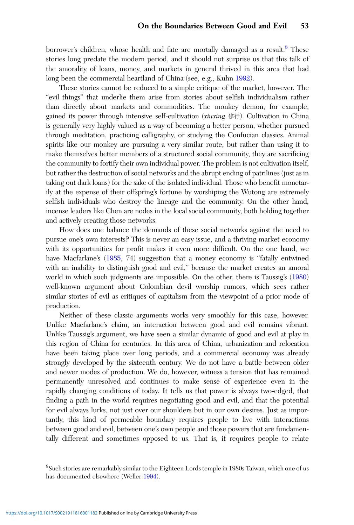borrower's children, whose health and fate are mortally damaged as a result.<sup>8</sup> These stories long predate the modern period, and it should not surprise us that this talk of the amorality of loans, money, and markets in general thrived in this area that had long been the commercial heartland of China (see, e.g., Kuhn [1992](#page-19-0)).

These stories cannot be reduced to a simple critique of the market, however. The "evil things" that underlie them arise from stories about selfish individualism rather than directly about markets and commodities. The monkey demon, for example, gained its power through intensive self-cultivation (xiuxing 修行). Cultivation in China is generally very highly valued as a way of becoming a better person, whether pursued through meditation, practicing calligraphy, or studying the Confucian classics. Animal spirits like our monkey are pursuing a very similar route, but rather than using it to make themselves better members of a structured social community, they are sacrificing the community to fortify their own individual power. The problem is not cultivation itself, but rather the destruction of social networks and the abrupt ending of patrilines (just as in taking out dark loans) for the sake of the isolated individual. Those who benefit monetarily at the expense of their offspring's fortune by worshiping the Wutong are extremely selfish individuals who destroy the lineage and the community. On the other hand, incense leaders like Chen are nodes in the local social community, both holding together and actively creating those networks.

How does one balance the demands of these social networks against the need to pursue one's own interests? This is never an easy issue, and a thriving market economy with its opportunities for profit makes it even more difficult. On the one hand, we have Macfarlane's [\(1985](#page-19-0), 74) suggestion that a money economy is "fatally entwined with an inability to distinguish good and evil," because the market creates an amoral world in which such judgments are impossible. On the other, there is Taussig's ([1980\)](#page-19-0) well-known argument about Colombian devil worship rumors, which sees rather similar stories of evil as critiques of capitalism from the viewpoint of a prior mode of production.

Neither of these classic arguments works very smoothly for this case, however. Unlike Macfarlane's claim, an interaction between good and evil remains vibrant. Unlike Taussig's argument, we have seen a similar dynamic of good and evil at play in this region of China for centuries. In this area of China, urbanization and relocation have been taking place over long periods, and a commercial economy was already strongly developed by the sixteenth century. We do not have a battle between older and newer modes of production. We do, however, witness a tension that has remained permanently unresolved and continues to make sense of experience even in the rapidly changing conditions of today. It tells us that power is always two-edged, that finding a path in the world requires negotiating good and evil, and that the potential for evil always lurks, not just over our shoulders but in our own desires. Just as importantly, this kind of permeable boundary requires people to live with interactions between good and evil, between one's own people and those powers that are fundamentally different and sometimes opposed to us. That is, it requires people to relate

<sup>8</sup> Such stories are remarkably similar to the Eighteen Lords temple in 1980s Taiwan, which one of us has documented elsewhere (Weller [1994](#page-19-0)).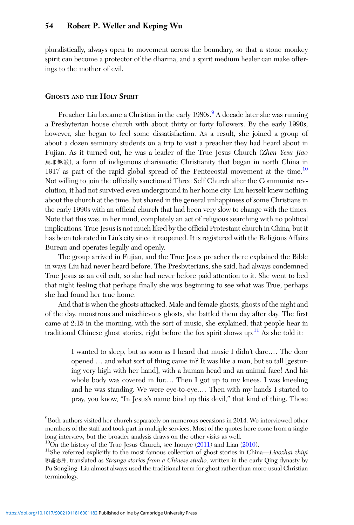pluralistically, always open to movement across the boundary, so that a stone monkey spirit can become a protector of the dharma, and a spirit medium healer can make offerings to the mother of evil.

#### GHOSTS AND THE HOLY SPIRIT

Preacher Liu became a Christian in the early 1980s.<sup>9</sup> A decade later she was running a Presbyterian house church with about thirty or forty followers. By the early 1990s, however, she began to feel some dissatisfaction. As a result, she joined a group of about a dozen seminary students on a trip to visit a preacher they had heard about in Fujian. As it turned out, he was a leader of the True Jesus Church (Zhen Yesu Jiao <sup>真</sup>耶稣教), a form of indigenous charismatic Christianity that began in north China in 1917 as part of the rapid global spread of the Pentecostal movement at the time.<sup>10</sup> Not willing to join the officially sanctioned Three Self Church after the Communist revolution, it had not survived even underground in her home city. Liu herself knew nothing about the church at the time, but shared in the general unhappiness of some Christians in the early 1990s with an official church that had been very slow to change with the times. Note that this was, in her mind, completely an act of religious searching with no political implications. True Jesus is not much liked by the official Protestant church in China, but it has been tolerated in Liu's city since it reopened. It is registered with the Religious Affairs Bureau and operates legally and openly.

The group arrived in Fujian, and the True Jesus preacher there explained the Bible in ways Liu had never heard before. The Presbyterians, she said, had always condemned True Jesus as an evil cult, so she had never before paid attention to it. She went to bed that night feeling that perhaps finally she was beginning to see what was True, perhaps she had found her true home.

And that is when the ghosts attacked. Male and female ghosts, ghosts of the night and of the day, monstrous and mischievous ghosts, she battled them day after day. The first came at 2:15 in the morning, with the sort of music, she explained, that people hear in traditional Chinese ghost stories, right before the fox spirit shows up.<sup>11</sup> As she told it:

I wanted to sleep, but as soon as I heard that music I didn't dare.… The door opened … and what sort of thing came in? It was like a man, but so tall [gesturing very high with her hand], with a human head and an animal face! And his whole body was covered in fur.... Then I got up to my knees. I was kneeling and he was standing. We were eye-to-eye.… Then with my hands I started to pray, you know, "In Jesus's name bind up this devil," that kind of thing. Those

<sup>9</sup> Both authors visited her church separately on numerous occasions in 2014. We interviewed other members of the staff and took part in multiple services. Most of the quotes here come from a single long interview, but the broader analysis draws on the other visits as well.  $^{10}$ On the history of the True Jesus Church, see Inouye (2011) and Lian (2010).

<sup>&</sup>lt;sup>11</sup>She referred explicitly to the most famous collection of ghost stories in China—Liaozhai zhiyi <sup>聊</sup>斋志异, translated as Strange stories from a Chinese studio, written in the early Qing dynasty by Pu Songling. Liu almost always used the traditional term for ghost rather than more usual Christian terminology.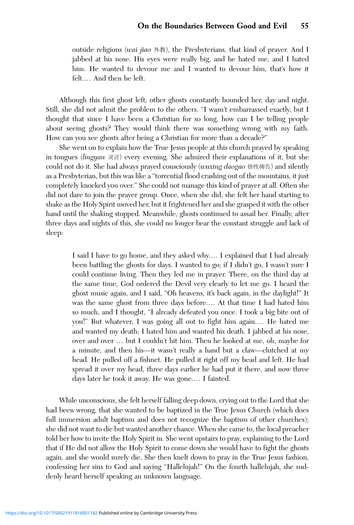outside religions (wai jiao 外教), the Presbyterians, that kind of prayer. And I jabbed at his nose. His eyes were really big, and he hated me, and I hated him. He wanted to devour me and I wanted to devour him, that's how it felt.… And then he left.

Although this first ghost left, other ghosts constantly hounded her, day and night. Still, she did not admit the problem to the others. "I wasn't embarrassed exactly, but I thought that since I have been a Christian for so long, how can I be telling people about seeing ghosts? They would think there was something wrong with my faith. How can you see ghosts after being a Christian for more than a decade?"

She went on to explain how the True Jesus people at this church prayed by speaking in tongues (lingyan  $\overline{\mathcal{R}}$ ) every evening. She admired their explanations of it, but she could not do it. She had always prayed consciously (wuxing daogao 悟性祷告) and silently as a Presbyterian, but this was like a "torrential flood crashing out of the mountains, it just completely knocked you over." She could not manage this kind of prayer at all. Often she did not dare to join the prayer group. Once, when she did, she felt her hand starting to shake as the Holy Spirit moved her, but it frightened her and she grasped it with the other hand until the shaking stopped. Meanwhile, ghosts continued to assail her. Finally, after three days and nights of this, she could no longer bear the constant struggle and lack of sleep:

I said I have to go home, and they asked why.… I explained that I had already been battling the ghosts for days. I wanted to go; if I didn't go, I wasn't sure I could continue living. Then they led me in prayer. There, on the third day at the same time, God ordered the Devil very clearly to let me go. I heard the ghost music again, and I said, "Oh heavens, it's back again, in the daylight!" It was the same ghost from three days before.… At that time I had hated him so much, and I thought, "I already defeated you once. I took a big bite out of you!" But whatever, I was going all out to fight him again.… He hated me and wanted my death; I hated him and wanted his death. I jabbed at his nose, over and over … but I couldn't hit him. Then he looked at me, oh, maybe for a minute, and then his—it wasn't really a hand but a claw—clutched at my head. He pulled off a fishnet. He pulled it right off my head and left. He had spread it over my head, three days earlier he had put it there, and now three days later he took it away. He was gone.… I fainted.

While unconscious, she felt herself falling deep down, crying out to the Lord that she had been wrong, that she wanted to be baptized in the True Jesus Church (which does full immersion adult baptism and does not recognize the baptism of other churches); she did not want to die but wanted another chance. When she came to, the local preacher told her how to invite the Holy Spirit in. She went upstairs to pray, explaining to the Lord that if He did not allow the Holy Spirit to come down she would have to fight the ghosts again, and she would surely die. She then knelt down to pray in the True Jesus fashion, confessing her sins to God and saying "Hallelujah!" On the fourth hallelujah, she suddenly heard herself speaking an unknown language.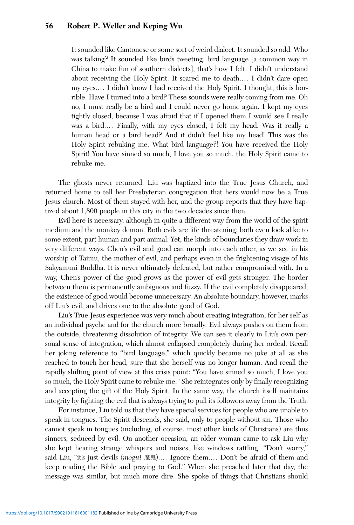It sounded like Cantonese or some sort of weird dialect. It sounded so odd. Who was talking? It sounded like birds tweeting, bird language [a common way in China to make fun of southern dialects], that's how I felt. I didn't understand about receiving the Holy Spirit. It scared me to death.… I didn't dare open my eyes.… I didn't know I had received the Holy Spirit. I thought, this is horrible. Have I turned into a bird? These sounds were really coming from me. Oh no, I must really be a bird and I could never go home again. I kept my eyes tightly closed, because I was afraid that if I opened them I would see I really was a bird.… Finally, with my eyes closed, I felt my head. Was it really a human head or a bird head? And it didn't feel like my head! This was the Holy Spirit rebuking me. What bird language?! You have received the Holy Spirit! You have sinned so much, I love you so much, the Holy Spirit came to rebuke me.

The ghosts never returned. Liu was baptized into the True Jesus Church, and returned home to tell her Presbyterian congregation that hers would now be a True Jesus church. Most of them stayed with her, and the group reports that they have baptized about 1,800 people in this city in the two decades since then.

Evil here is necessary, although in quite a different way from the world of the spirit medium and the monkey demon. Both evils are life threatening; both even look alike to some extent, part human and part animal. Yet, the kinds of boundaries they draw work in very different ways. Chen's evil and good can morph into each other, as we see in his worship of Taimu, the mother of evil, and perhaps even in the frightening visage of his Sakyamuni Buddha. It is never ultimately defeated, but rather compromised with. In a way, Chen's power of the good grows as the power of evil gets stronger. The border between them is permanently ambiguous and fuzzy. If the evil completely disappeared, the existence of good would become unnecessary. An absolute boundary, however, marks off Liu's evil, and drives one to the absolute good of God.

Liu's True Jesus experience was very much about creating integration, for her self as an individual psyche and for the church more broadly. Evil always pushes on them from the outside, threatening dissolution of integrity. We can see it clearly in Liu's own personal sense of integration, which almost collapsed completely during her ordeal. Recall her joking reference to "bird language," which quickly became no joke at all as she reached to touch her head, sure that she herself was no longer human. And recall the rapidly shifting point of view at this crisis point: "You have sinned so much, I love you so much, the Holy Spirit came to rebuke me." She reintegrates only by finally recognizing and accepting the gift of the Holy Spirit. In the same way, the church itself maintains integrity by fighting the evil that is always trying to pull its followers away from the Truth.

For instance, Liu told us that they have special services for people who are unable to speak in tongues. The Spirit descends, she said, only to people without sin. Those who cannot speak in tongues (including, of course, most other kinds of Christians) are thus sinners, seduced by evil. On another occasion, an older woman came to ask Liu why she kept hearing strange whispers and noises, like windows rattling. "Don't worry," said Liu, "it's just devils (mogui 魔鬼).… Ignore them.… Don't be afraid of them and keep reading the Bible and praying to God." When she preached later that day, the message was similar, but much more dire. She spoke of things that Christians should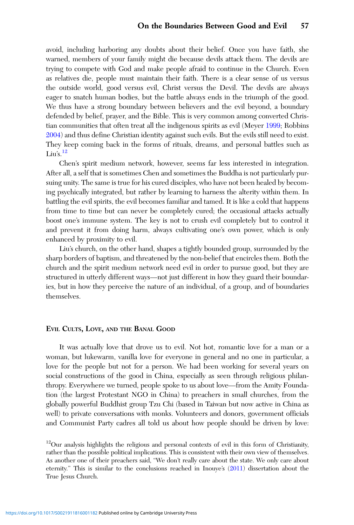avoid, including harboring any doubts about their belief. Once you have faith, she warned, members of your family might die because devils attack them. The devils are trying to compete with God and make people afraid to continue in the Church. Even as relatives die, people must maintain their faith. There is a clear sense of us versus the outside world, good versus evil, Christ versus the Devil. The devils are always eager to snatch human bodies, but the battle always ends in the triumph of the good. We thus have a strong boundary between believers and the evil beyond, a boundary defended by belief, prayer, and the Bible. This is very common among converted Christian communities that often treat all the indigenous spirits as evil (Meyer [1999;](#page-19-0) Robbins [2004\)](#page-19-0) and thus define Christian identity against such evils. But the evils still need to exist. They keep coming back in the forms of rituals, dreams, and personal battles such as Liu's. $12$ 

Chen's spirit medium network, however, seems far less interested in integration. After all, a self that is sometimes Chen and sometimes the Buddha is not particularly pursuing unity. The same is true for his cured disciples, who have not been healed by becoming psychically integrated, but rather by learning to harness the alterity within them. In battling the evil spirits, the evil becomes familiar and tamed. It is like a cold that happens from time to time but can never be completely cured; the occasional attacks actually boost one's immune system. The key is not to crush evil completely but to control it and prevent it from doing harm, always cultivating one's own power, which is only enhanced by proximity to evil.

Liu's church, on the other hand, shapes a tightly bounded group, surrounded by the sharp borders of baptism, and threatened by the non-belief that encircles them. Both the church and the spirit medium network need evil in order to pursue good, but they are structured in utterly different ways—not just different in how they guard their boundaries, but in how they perceive the nature of an individual, of a group, and of boundaries themselves.

#### EVIL CULTS, LOVE, AND THE BANAL GOOD

It was actually love that drove us to evil. Not hot, romantic love for a man or a woman, but lukewarm, vanilla love for everyone in general and no one in particular, a love for the people but not for a person. We had been working for several years on social constructions of the good in China, especially as seen through religious philanthropy. Everywhere we turned, people spoke to us about love—from the Amity Foundation (the largest Protestant NGO in China) to preachers in small churches, from the globally powerful Buddhist group Tzu Chi (based in Taiwan but now active in China as well) to private conversations with monks. Volunteers and donors, government officials and Communist Party cadres all told us about how people should be driven by love:

<sup>&</sup>lt;sup>12</sup>Our analysis highlights the religious and personal contexts of evil in this form of Christianity, rather than the possible political implications. This is consistent with their own view of themselves. As another one of their preachers said, "We don't really care about the state. We only care about eternity." This is similar to the conclusions reached in Inouye's ([2011\)](#page-19-0) dissertation about the True Jesus Church.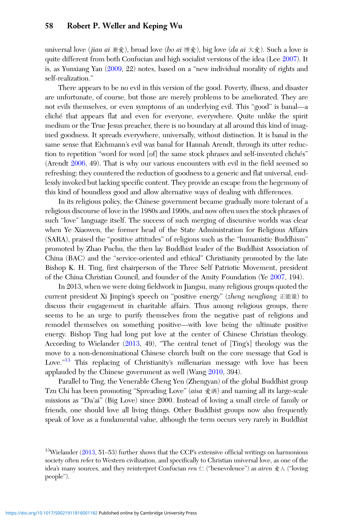universal love (jian ai 兼爱), broad love (bo ai 博爱), big love (da ai  $\pm \hat{\mathcal{L}}$ ). Such a love is quite different from both Confucian and high socialist versions of the idea (Lee [2007\)](#page-19-0). It is, as Yunxiang Yan ([2009,](#page-20-0) 22) notes, based on a "new individual morality of rights and self-realization."

There appears to be no evil in this version of the good. Poverty, illness, and disaster are unfortunate, of course, but those are merely problems to be ameliorated. They are not evils themselves, or even symptoms of an underlying evil. This "good" is banal—a cliché that appears flat and even for everyone, everywhere. Quite unlike the spirit medium or the True Jesus preacher, there is no boundary at all around this kind of imagined goodness. It spreads everywhere, universally, without distinction. It is banal in the same sense that Eichmann's evil was banal for Hannah Arendt, through its utter reduction to repetition "word for word [of] the same stock phrases and self-invented clichés" (Arendt [2006,](#page-18-0) 49). That is why our various encounters with evil in the field seemed so refreshing: they countered the reduction of goodness to a generic and flat universal, endlessly invoked but lacking specific content. They provide an escape from the hegemony of this kind of boundless good and allow alternative ways of dealing with differences.

In its religious policy, the Chinese government became gradually more tolerant of a religious discourse of love in the 1980s and 1990s, and now often uses the stock phrases of such "love" language itself. The success of such merging of discursive worlds was clear when Ye Xiaowen, the former head of the State Administration for Religious Affairs (SARA), praised the "positive attitudes" of religions such as the "humanistic Buddhism" promoted by Zhao Puchu, the then lay Buddhist leader of the Buddhist Association of China (BAC) and the "service-oriented and ethical" Christianity promoted by the late Bishop K. H. Ting, first chairperson of the Three Self Patriotic Movement, president of the China Christian Council, and founder of the Amity Foundation (Ye [2007](#page-20-0), 194).

In 2013, when we were doing fieldwork in Jiangsu, many religious groups quoted the current president Xi Jinping's speech on "positive energy" (zheng nengliang 正能量) to discuss their engagement in charitable affairs. Thus among religious groups, there seems to be an urge to purify themselves from the negative past of religions and remodel themselves on something positive—with love being the ultimate positive energy. Bishop Ting had long put love at the center of Chinese Christian theology. According to Wielander [\(2013](#page-19-0), 49), "The central tenet of [Ting's] theology was the move to a non-denominational Chinese church built on the core message that God is Love."<sup>13</sup> This replacing of Christianity's millenarian message with love has been applauded by the Chinese government as well (Wang [2010](#page-19-0), 394).

Parallel to Ting, the Venerable Cheng Yen (Zhengyan) of the global Buddhist group Tzu Chi has been promoting "Spreading Love" (aisa 爱洒) and naming all its large-scale missions as "Da'ai" (Big Love) since 2000. Instead of loving a small circle of family or friends, one should love all living things. Other Buddhist groups now also frequently speak of love as a fundamental value, although the term occurs very rarely in Buddhist

<sup>&</sup>lt;sup>13</sup>Wielander [\(2013](#page-19-0), 51–53) further shows that the CCP's extensive official writings on harmonious society often refer to Western civilization, and specifically to Christian universal love, as one of the idea's many sources, and they reinterpret Confucian ren  $\subset$  ("benevolence") as *airen*  $\< \wedge$  ("loving people").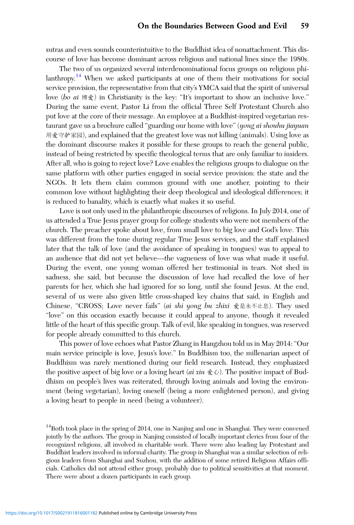sutras and even sounds counterintuitive to the Buddhist idea of nonattachment. This discourse of love has become dominant across religious and national lines since the 1980s.

The two of us organized several interdenominational focus groups on religious philanthropy.<sup>14</sup> When we asked participants at one of them their motivations for social service provision, the representative from that city's YMCA said that the spirit of universal love (bo ai 博爱) in Christianity is the key: "It's important to show an inclusive love." During the same event, Pastor Li from the official Three Self Protestant Church also put love at the core of their message. An employee at a Buddhist-inspired vegetarian restaurant gave us a brochure called "guarding our home with love" (yong ai shouhu jiayuan <sup>用</sup>爱守护家园), and explained that the greatest love was not killing (animals). Using love as the dominant discourse makes it possible for these groups to reach the general public, instead of being restricted by specific theological terms that are only familiar to insiders. After all, who is going to reject love? Love enables the religious groups to dialogue on the same platform with other parties engaged in social service provision: the state and the NGOs. It lets them claim common ground with one another, pointing to their common love without highlighting their deep theological and ideological differences; it is reduced to banality, which is exactly what makes it so useful.

Love is not only used in the philanthropic discourses of religions. In July 2014, one of us attended a True Jesus prayer group for college students who were not members of the church. The preacher spoke about love, from small love to big love and God's love. This was different from the tone during regular True Jesus services, and the staff explained later that the talk of love (and the avoidance of speaking in tongues) was to appeal to an audience that did not yet believe—the vagueness of love was what made it useful. During the event, one young woman offered her testimonial in tears. Not shed in sadness, she said, but because the discussion of love had recalled the love of her parents for her, which she had ignored for so long, until she found Jesus. At the end, several of us were also given little cross-shaped key chains that said, in English and Chinese, "CROSS; Love never fails" (ai shi yong bu zhixi 爱是永不止息). They used "love" on this occasion exactly because it could appeal to anyone, though it revealed little of the heart of this specific group. Talk of evil, like speaking in tongues, was reserved for people already committed to this church.

This power of love echoes what Pastor Zhang in Hangzhou told us in May 2014: "Our main service principle is love, Jesus's love." In Buddhism too, the millenarian aspect of Buddhism was rarely mentioned during our field research. Instead, they emphasized the positive aspect of big love or a loving heart (*ai xin*  $\hat{\mathcal{R}}$   $\hat{\mathcal{L}}$ ). The positive impact of Buddhism on people's lives was reiterated, through loving animals and loving the environment (being vegetarian), loving oneself (being a more enlightened person), and giving a loving heart to people in need (being a volunteer).

<sup>&</sup>lt;sup>14</sup>Both took place in the spring of 2014, one in Nanjing and one in Shanghai. They were convened jointly by the authors. The group in Nanjing consisted of locally important clerics from four of the recognized religions, all involved in charitable work. There were also leading lay Protestant and Buddhist leaders involved in informal charity. The group in Shanghai was a similar selection of religious leaders from Shanghai and Suzhou, with the addition of some retired Religious Affairs officials. Catholics did not attend either group, probably due to political sensitivities at that moment. There were about a dozen participants in each group.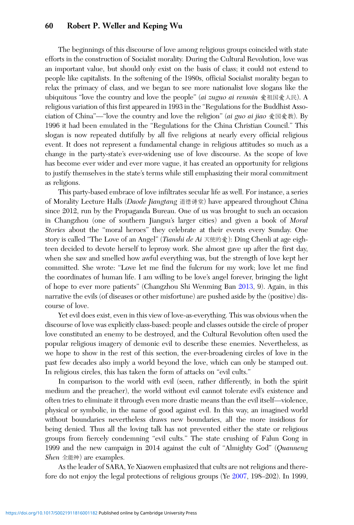The beginnings of this discourse of love among religious groups coincided with state efforts in the construction of Socialist morality. During the Cultural Revolution, love was an important value, but should only exist on the basis of class; it could not extend to people like capitalists. In the softening of the 1980s, official Socialist morality began to relax the primacy of class, and we began to see more nationalist love slogans like the ubiquitous "love the country and love the people" (ai zuguo ai renmin 爱祖国爱人民). A religious variation of this first appeared in 1993 in the "Regulations for the Buddhist Association of China"—"love the country and love the religion" (*ai guo ai jiao* 爱国爱教). By 1996 it had been emulated in the "Regulations for the China Christian Council." This slogan is now repeated dutifully by all five religions at nearly every official religious event. It does not represent a fundamental change in religious attitudes so much as a change in the party-state's ever-widening use of love discourse. As the scope of love has become ever wider and ever more vague, it has created an opportunity for religions to justify themselves in the state's terms while still emphasizing their moral commitment as religions.

This party-based embrace of love infiltrates secular life as well. For instance, a series of Morality Lecture Halls (Daode Jiangtang <sup>道</sup>德讲堂) have appeared throughout China since 2012, run by the Propaganda Bureau. One of us was brought to such an occasion in Changzhou (one of southern Jiangsu's larger cities) and given a book of Moral Stories about the "moral heroes" they celebrate at their events every Sunday. One story is called "The Love of an Angel" (Tianshi de Ai 天使的爱): Ding Chenli at age eighteen decided to devote herself to leprosy work. She almost gave up after the first day, when she saw and smelled how awful everything was, but the strength of love kept her committed. She wrote: "Love let me find the fulcrum for my work; love let me find the coordinates of human life. I am willing to be love's angel forever, bringing the light of hope to ever more patients" (Changzhou Shi Wenming Ban [2013,](#page-18-0) 9). Again, in this narrative the evils (of diseases or other misfortune) are pushed aside by the (positive) discourse of love.

Yet evil does exist, even in this view of love-as-everything. This was obvious when the discourse of love was explicitly class-based: people and classes outside the circle of proper love constituted an enemy to be destroyed, and the Cultural Revolution often used the popular religious imagery of demonic evil to describe these enemies. Nevertheless, as we hope to show in the rest of this section, the ever-broadening circles of love in the past few decades also imply a world beyond the love, which can only be stamped out. In religious circles, this has taken the form of attacks on "evil cults."

In comparison to the world with evil (seen, rather differently, in both the spirit medium and the preacher), the world without evil cannot tolerate evil's existence and often tries to eliminate it through even more drastic means than the evil itself—violence, physical or symbolic, in the name of good against evil. In this way, an imagined world without boundaries nevertheless draws new boundaries, all the more insidious for being denied. Thus all the loving talk has not prevented either the state or religious groups from fiercely condemning "evil cults." The state crushing of Falun Gong in 1999 and the new campaign in 2014 against the cult of "Almighty God" (Quanneng Shen 全能神) are examples.

As the leader of SARA, Ye Xiaowen emphasized that cults are not religions and therefore do not enjoy the legal protections of religious groups (Ye [2007](#page-20-0), 198–202). In 1999,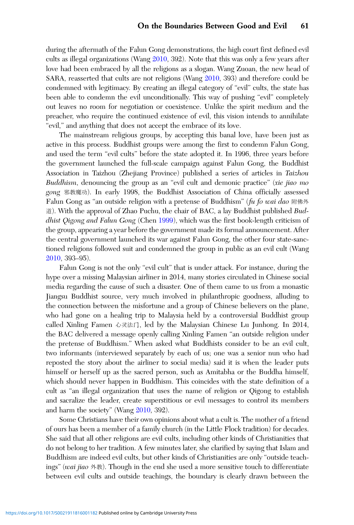during the aftermath of the Falun Gong demonstrations, the high court first defined evil cults as illegal organizations (Wang [2010,](#page-19-0) 392). Note that this was only a few years after love had been embraced by all the religions as a slogan. Wang Zuoan, the new head of SARA, reasserted that cults are not religions (Wang [2010](#page-19-0), 393) and therefore could be condemned with legitimacy. By creating an illegal category of "evil" cults, the state has been able to condemn the evil unconditionally. This way of pushing "evil" completely out leaves no room for negotiation or coexistence. Unlike the spirit medium and the preacher, who require the continued existence of evil, this vision intends to annihilate "evil," and anything that does not accept the embrace of its love.

The mainstream religious groups, by accepting this banal love, have been just as active in this process. Buddhist groups were among the first to condemn Falun Gong, and used the term "evil cults" before the state adopted it. In 1996, three years before the government launched the full-scale campaign against Falun Gong, the Buddhist Association in Taizhou (Zhejiang Province) published a series of articles in Taizhou Buddhism, denouncing the group as an "evil cult and demonic practice" (xie jiao mo gong 邪教魔功). In early 1998, the Buddhist Association of China officially assessed Falun Gong as "an outside religion with a pretense of Buddhism" (fu fo wai dao  $H\#M$ ) 道). With the approval of Zhao Puchu, the chair of BAC, a lay Buddhist published Buddhist Qigong and Falun Gong (Chen [1999](#page-18-0)), which was the first book-length criticism of the group, appearing a year before the government made its formal announcement. After the central government launched its war against Falun Gong, the other four state-sanctioned religions followed suit and condemned the group in public as an evil cult (Wang [2010,](#page-19-0) 393–95).

Falun Gong is not the only "evil cult" that is under attack. For instance, during the hype over a missing Malaysian airliner in 2014, many stories circulated in Chinese social media regarding the cause of such a disaster. One of them came to us from a monastic Jiangsu Buddhist source, very much involved in philanthropic goodness, alluding to the connection between the misfortune and a group of Chinese believers on the plane, who had gone on a healing trip to Malaysia held by a controversial Buddhist group called Xinling Famen <sup>心</sup>灵法门, led by the Malaysian Chinese Lu Junhong. In 2014, the BAC delivered a message openly calling Xinling Famen "an outside religion under the pretense of Buddhism." When asked what Buddhists consider to be an evil cult, two informants (interviewed separately by each of us; one was a senior nun who had reposted the story about the airliner to social media) said it is when the leader puts himself or herself up as the sacred person, such as Amitabha or the Buddha himself, which should never happen in Buddhism. This coincides with the state definition of a cult as "an illegal organization that uses the name of religion or Qigong to establish and sacralize the leader, create superstitious or evil messages to control its members and harm the society" (Wang [2010](#page-19-0), 392).

Some Christians have their own opinions about what a cult is. The mother of a friend of ours has been a member of a family church (in the Little Flock tradition) for decades. She said that all other religions are evil cults, including other kinds of Christianities that do not belong to her tradition. A few minutes later, she clarified by saying that Islam and Buddhism are indeed evil cults, but other kinds of Christianities are only "outside teachings" (wai jiao 外教). Though in the end she used a more sensitive touch to differentiate between evil cults and outside teachings, the boundary is clearly drawn between the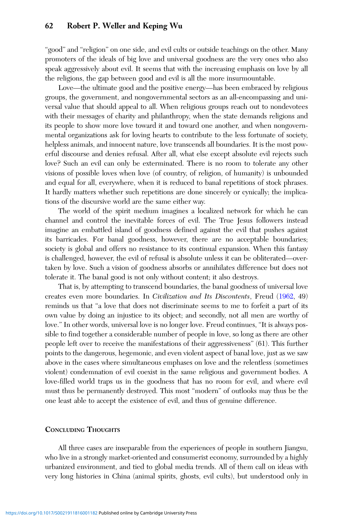"good" and "religion" on one side, and evil cults or outside teachings on the other. Many promoters of the ideals of big love and universal goodness are the very ones who also speak aggressively about evil. It seems that with the increasing emphasis on love by all the religions, the gap between good and evil is all the more insurmountable.

Love—the ultimate good and the positive energy—has been embraced by religious groups, the government, and nongovernmental sectors as an all-encompassing and universal value that should appeal to all. When religious groups reach out to nondevotees with their messages of charity and philanthropy, when the state demands religions and its people to show more love toward it and toward one another, and when nongovernmental organizations ask for loving hearts to contribute to the less fortunate of society, helpless animals, and innocent nature, love transcends all boundaries. It is the most powerful discourse and denies refusal. After all, what else except absolute evil rejects such love? Such an evil can only be exterminated. There is no room to tolerate any other visions of possible loves when love (of country, of religion, of humanity) is unbounded and equal for all, everywhere, when it is reduced to banal repetitions of stock phrases. It hardly matters whether such repetitions are done sincerely or cynically; the implications of the discursive world are the same either way.

The world of the spirit medium imagines a localized network for which he can channel and control the inevitable forces of evil. The True Jesus followers instead imagine an embattled island of goodness defined against the evil that pushes against its barricades. For banal goodness, however, there are no acceptable boundaries; society is global and offers no resistance to its continual expansion. When this fantasy is challenged, however, the evil of refusal is absolute unless it can be obliterated—overtaken by love. Such a vision of goodness absorbs or annihilates difference but does not tolerate it. The banal good is not only without content; it also destroys.

That is, by attempting to transcend boundaries, the banal goodness of universal love creates even more boundaries. In Civilization and Its Discontents, Freud ([1962,](#page-18-0) 49) reminds us that "a love that does not discriminate seems to me to forfeit a part of its own value by doing an injustice to its object; and secondly, not all men are worthy of love." In other words, universal love is no longer love. Freud continues, "It is always possible to find together a considerable number of people in love, so long as there are other people left over to receive the manifestations of their aggressiveness" (61). This further points to the dangerous, hegemonic, and even violent aspect of banal love, just as we saw above in the cases where simultaneous emphases on love and the relentless (sometimes violent) condemnation of evil coexist in the same religious and government bodies. A love-filled world traps us in the goodness that has no room for evil, and where evil must thus be permanently destroyed. This most "modern" of outlooks may thus be the one least able to accept the existence of evil, and thus of genuine difference.

#### CONCLUDING THOUGHTS

All three cases are inseparable from the experiences of people in southern Jiangsu, who live in a strongly market-oriented and consumerist economy, surrounded by a highly urbanized environment, and tied to global media trends. All of them call on ideas with very long histories in China (animal spirits, ghosts, evil cults), but understood only in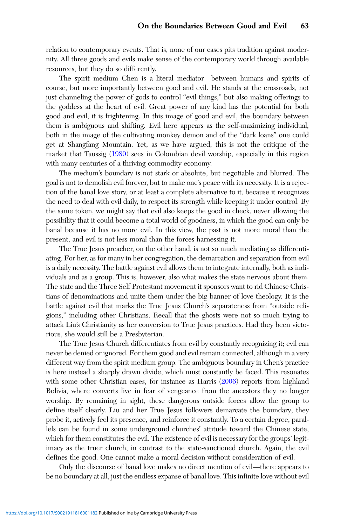relation to contemporary events. That is, none of our cases pits tradition against modernity. All three goods and evils make sense of the contemporary world through available resources, but they do so differently.

The spirit medium Chen is a literal mediator—between humans and spirits of course, but more importantly between good and evil. He stands at the crossroads, not just channeling the power of gods to control "evil things," but also making offerings to the goddess at the heart of evil. Great power of any kind has the potential for both good and evil; it is frightening. In this image of good and evil, the boundary between them is ambiguous and shifting. Evil here appears as the self-maximizing individual, both in the image of the cultivating monkey demon and of the "dark loans" one could get at Shangfang Mountain. Yet, as we have argued, this is not the critique of the market that Taussig ([1980\)](#page-19-0) sees in Colombian devil worship, especially in this region with many centuries of a thriving commodity economy.

The medium's boundary is not stark or absolute, but negotiable and blurred. The goal is not to demolish evil forever, but to make one's peace with its necessity. It is a rejection of the banal love story, or at least a complete alternative to it, because it recognizes the need to deal with evil daily, to respect its strength while keeping it under control. By the same token, we might say that evil also keeps the good in check, never allowing the possibility that it could become a total world of goodness, in which the good can only be banal because it has no more evil. In this view, the past is not more moral than the present, and evil is not less moral than the forces harnessing it.

The True Jesus preacher, on the other hand, is not so much mediating as differentiating. For her, as for many in her congregation, the demarcation and separation from evil is a daily necessity. The battle against evil allows them to integrate internally, both as individuals and as a group. This is, however, also what makes the state nervous about them. The state and the Three Self Protestant movement it sponsors want to rid Chinese Christians of denominations and unite them under the big banner of love theology. It is the battle against evil that marks the True Jesus Church's separateness from "outside religions," including other Christians. Recall that the ghosts were not so much trying to attack Liu's Christianity as her conversion to True Jesus practices. Had they been victorious, she would still be a Presbyterian.

The True Jesus Church differentiates from evil by constantly recognizing it; evil can never be denied or ignored. For them good and evil remain connected, although in a very different way from the spirit medium group. The ambiguous boundary in Chen's practice is here instead a sharply drawn divide, which must constantly be faced. This resonates with some other Christian cases, for instance as Harris [\(2006](#page-19-0)) reports from highland Bolivia, where converts live in fear of vengeance from the ancestors they no longer worship. By remaining in sight, these dangerous outside forces allow the group to define itself clearly. Liu and her True Jesus followers demarcate the boundary; they probe it, actively feel its presence, and reinforce it constantly. To a certain degree, parallels can be found in some underground churches' attitude toward the Chinese state, which for them constitutes the evil. The existence of evil is necessary for the groups' legitimacy as the truer church, in contrast to the state-sanctioned church. Again, the evil defines the good. One cannot make a moral decision without consideration of evil.

Only the discourse of banal love makes no direct mention of evil—there appears to be no boundary at all, just the endless expanse of banal love. This infinite love without evil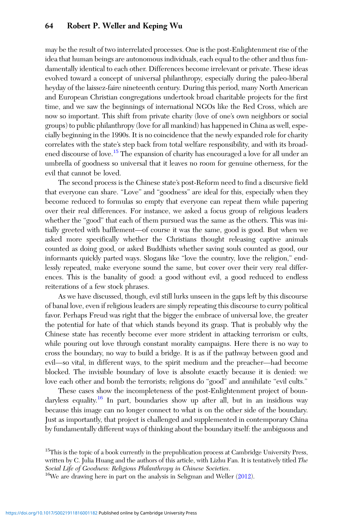may be the result of two interrelated processes. One is the post-Enlightenment rise of the idea that human beings are autonomous individuals, each equal to the other and thus fundamentally identical to each other. Differences become irrelevant or private. These ideas evolved toward a concept of universal philanthropy, especially during the paleo-liberal heyday of the laissez-faire nineteenth century. During this period, many North American and European Christian congregations undertook broad charitable projects for the first time, and we saw the beginnings of international NGOs like the Red Cross, which are now so important. This shift from private charity (love of one's own neighbors or social groups) to public philanthropy (love for all mankind) has happened in China as well, especially beginning in the 1990s. It is no coincidence that the newly expanded role for charity correlates with the state's step back from total welfare responsibility, and with its broadened discourse of love.<sup>15</sup> The expansion of charity has encouraged a love for all under an umbrella of goodness so universal that it leaves no room for genuine otherness, for the evil that cannot be loved.

The second process is the Chinese state's post-Reform need to find a discursive field that everyone can share. "Love" and "goodness" are ideal for this, especially when they become reduced to formulas so empty that everyone can repeat them while papering over their real differences. For instance, we asked a focus group of religious leaders whether the "good" that each of them pursued was the same as the others. This was initially greeted with bafflement—of course it was the same, good is good. But when we asked more specifically whether the Christians thought releasing captive animals counted as doing good, or asked Buddhists whether saving souls counted as good, our informants quickly parted ways. Slogans like "love the country, love the religion," endlessly repeated, make everyone sound the same, but cover over their very real differences. This is the banality of good: a good without evil, a good reduced to endless reiterations of a few stock phrases.

As we have discussed, though, evil still lurks unseen in the gaps left by this discourse of banal love, even if religious leaders are simply repeating this discourse to curry political favor. Perhaps Freud was right that the bigger the embrace of universal love, the greater the potential for hate of that which stands beyond its grasp. That is probably why the Chinese state has recently become ever more strident in attacking terrorism or cults, while pouring out love through constant morality campaigns. Here there is no way to cross the boundary, no way to build a bridge. It is as if the pathway between good and evil—so vital, in different ways, to the spirit medium and the preacher—had become blocked. The invisible boundary of love is absolute exactly because it is denied: we love each other and bomb the terrorists; religions do "good" and annihilate "evil cults."

These cases show the incompleteness of the post-Enlightenment project of boundaryless equality.<sup>16</sup> In part, boundaries show up after all, but in an insidious way because this image can no longer connect to what is on the other side of the boundary. Just as importantly, that project is challenged and supplemented in contemporary China by fundamentally different ways of thinking about the boundary itself: the ambiguous and

<sup>&</sup>lt;sup>15</sup>This is the topic of a book currently in the prepublication process at Cambridge University Press, written by C. Julia Huang and the authors of this article, with Lizhu Fan. It is tentatively titled The Social Life of Goodness: Religious Philanthropy in Chinese Societies.<br><sup>16</sup>We are drawing here in part on the analysis in Seligman and Weller ([2012\)](#page-19-0).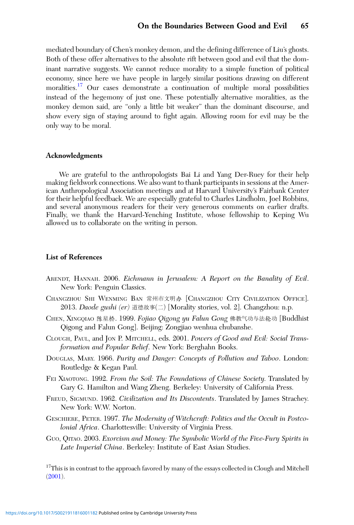<span id="page-18-0"></span>mediated boundary of Chen's monkey demon, and the defining difference of Liu's ghosts. Both of these offer alternatives to the absolute rift between good and evil that the dominant narrative suggests. We cannot reduce morality to a simple function of political economy, since here we have people in largely similar positions drawing on different moralities.<sup>17</sup> Our cases demonstrate a continuation of multiple moral possibilities instead of the hegemony of just one. These potentially alternative moralities, as the monkey demon said, are "only a little bit weaker" than the dominant discourse, and show every sign of staying around to fight again. Allowing room for evil may be the only way to be moral.

#### Acknowledgments

We are grateful to the anthropologists Bai Li and Yang Der-Ruey for their help making fieldwork connections. We also want to thank participants in sessions at the American Anthropological Association meetings and at Harvard University's Fairbank Center for their helpful feedback. We are especially grateful to Charles Lindholm, Joel Robbins, and several anonymous readers for their very generous comments on earlier drafts. Finally, we thank the Harvard-Yenching Institute, whose fellowship to Keping Wu allowed us to collaborate on the writing in person.

#### List of References

- ARENDT, HANNAH. 2006. Eichmann in Jerusalem: A Report on the Banality of Evil. New York: Penguin Classics.
- CHANGZHOU SHI WENMING BAN <sup>常</sup>州市文明办 [CHANGZHOU CITY CIVILIZATION OFFICE]. 2013. Daode gushi (er) 道德故事(二) [Morality stories, vol. 2]. Changzhou: n.p.
- CHEN, XINGQIAO 陈星桥. 1999. Fojiao Qigong yu Falun Gong <sup>佛</sup>教气功与法轮<sup>功</sup> [Buddhist Qigong and Falun Gong]. Beijing: Zongjiao wenhua chubanshe.
- CLOUGH, PAUL, and JON P. MITCHELL, eds. 2001. Powers of Good and Evil: Social Transformation and Popular Belief. New York: Berghahn Books.
- DOUGLAS, MARY. 1966. Purity and Danger: Concepts of Pollution and Taboo. London: Routledge & Kegan Paul.
- FEI XIAOTONG. 1992. From the Soil: The Foundations of Chinese Society. Translated by Gary G. Hamilton and Wang Zheng. Berkeley: University of California Press.
- FREUD, SIGMUND. 1962. Civilization and Its Discontents. Translated by James Strachey. New York: W.W. Norton.
- GESCHIERE, PETER. 1997. The Modernity of Witchcraft: Politics and the Occult in Postcolonial Africa. Charlottesville: University of Virginia Press.
- GUO, QITAO. 2003. Exorcism and Money: The Symbolic World of the Five-Fury Spirits in Late Imperial China. Berkeley: Institute of East Asian Studies.

<sup>17</sup>This is in contrast to the approach favored by many of the essays collected in Clough and Mitchell (2001).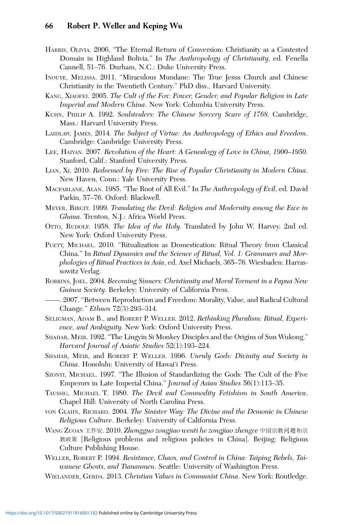- <span id="page-19-0"></span>HARRIS, OLIVIA. 2006. "The Eternal Return of Conversion: Christianity as a Contested Domain in Highland Bolivia." In The Anthropology of Christianity, ed. Fenella Cannell, 51–76. Durham, N.C.: Duke University Press.
- INOUYE, MELISSA. 2011. "Miraculous Mundane: The True Jesus Church and Chinese Christianity in the Twentieth Century." PhD diss., Harvard University.
- KANG, XIAOFEI. 2005. The Cult of the Fox: Power, Gender, and Popular Religion in Late Imperial and Modern China. New York: Columbia University Press.
- KUHN, PHILIP A. 1992. Soulstealers: The Chinese Sorcery Scare of 1768. Cambridge, Mass.: Harvard University Press.
- LAIDLAW, JAMES. 2014. The Subject of Virtue: An Anthropology of Ethics and Freedom. Cambridge: Cambridge University Press.
- LEE, HAIYAN. 2007. Revolution of the Heart: A Genealogy of Love in China, 1900–1950. Stanford, Calif.: Stanford University Press.
- LIAN, XI. 2010. Redeemed by Fire: The Rise of Popular Christianity in Modern China. New Haven, Conn.: Yale University Press.
- MACFARLANE, ALAN. 1985. "The Root of All Evil." In The Anthropology of Evil, ed. David Parkin, 57–76. Oxford: Blackwell.
- MEYER, BIRGIT. 1999. Translating the Devil: Religion and Modernity among the Ewe in Ghana. Trenton, N.J.: Africa World Press.
- OTTO, RUDOLF. 1958. The Idea of the Holy. Translated by John W. Harvey. 2nd ed. New York: Oxford University Press.
- PUETT, MICHAEL. 2010. "Ritualization as Domestication: Ritual Theory from Classical China." In Ritual Dynamics and the Science of Ritual, Vol. 1: Grammars and Morphologies of Ritual Practices in Asia, ed. Axel Michaels, 365–76. Wiesbaden: Harrassowitz Verlag.
- ROBBINS, JOEL. 2004. Becoming Sinners: Christianity and Moral Torment in a Papua New Guinea Society. Berkeley: University of California Press.
- ——. 2007. "Between Reproduction and Freedom: Morality, Value, and Radical Cultural Change." Ethnos 72(3):293–314.
- SELIGMAN, ADAM B., and ROBERT P. WELLER. 2012. Rethinking Pluralism: Ritual, Experience, and Ambiguity. New York: Oxford University Press.
- SHAHAR, MEIR. 1992. "The Lingyin Si Monkey Disciples and the Origins of Sun Wukong." Harvard Journal of Asiatic Studies 52(1):193–224.
- SHAHAR, MEIR, and ROBERT P. WELLER. 1996. Unruly Gods: Divinity and Society in China. Honolulu: University of Hawai'i Press.
- SZONYI, MICHAEL. 1997. "The Illusion of Standardizing the Gods: The Cult of the Five Emperors in Late Imperial China." Journal of Asian Studies 56(1):113–35.
- TAUSSIG, MICHAEL T. 1980. The Devil and Commodity Fetishism in South America. Chapel Hill: University of North Carolina Press.
- VON GLAHN, RICHARD. 2004. The Sinister Way: The Divine and the Demonic in Chinese Religious Culture. Berkeley: University of California Press.
- WANG ZUOAN 王作安. 2010. Zhongguo zongjiao wenti he zongjiao zhengce 中国宗教问题和宗 教政策 [Religious problems and religious policies in China]. Beijing: Religious Culture Publishing House.
- WELLER, ROBERT P. 1994. Resistance, Chaos, and Control in China: Taiping Rebels, Taiwanese Ghosts, and Tiananmen. Seattle: University of Washington Press.
- WIELANDER, GERDA. 2013. Christian Values in Communist China. New York: Routledge.